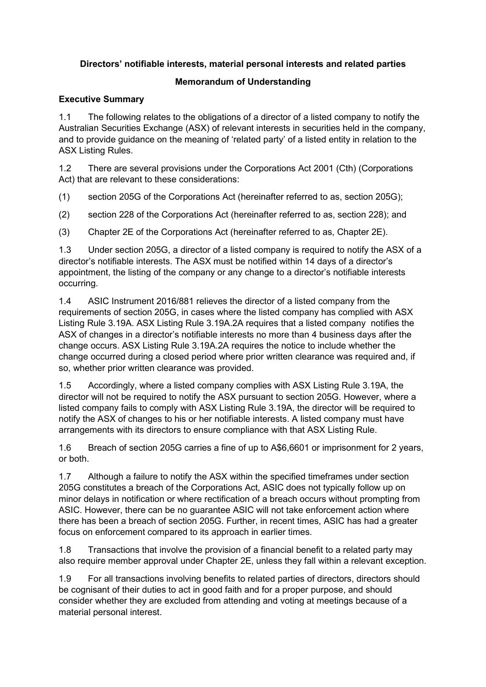### **Directors' notifiable interests, material personal interests and related parties**

# **Memorandum of Understanding**

### **Executive Summary**

1.1 The following relates to the obligations of a director of a listed company to notify the Australian Securities Exchange (ASX) of relevant interests in securities held in the company, and to provide guidance on the meaning of 'related party' of a listed entity in relation to the ASX Listing Rules.

1.2 There are several provisions under the Corporations Act 2001 (Cth) (Corporations Act) that are relevant to these considerations:

(1) section 205G of the Corporations Act (hereinafter referred to as, section 205G);

(2) section 228 of the Corporations Act (hereinafter referred to as, section 228); and

(3) Chapter 2E of the Corporations Act (hereinafter referred to as, Chapter 2E).

1.3 Under section 205G, a director of a listed company is required to notify the ASX of a director's notifiable interests. The ASX must be notified within 14 days of a director's appointment, the listing of the company or any change to a director's notifiable interests occurring.

1.4 ASIC Instrument 2016/881 relieves the director of a listed company from the requirements of section 205G, in cases where the listed company has complied with ASX Listing Rule 3.19A. ASX Listing Rule 3.19A.2A requires that a listed company notifies the ASX of changes in a director's notifiable interests no more than 4 business days after the change occurs. ASX Listing Rule 3.19A.2A requires the notice to include whether the change occurred during a closed period where prior written clearance was required and, if so, whether prior written clearance was provided.

1.5 Accordingly, where a listed company complies with ASX Listing Rule 3.19A, the director will not be required to notify the ASX pursuant to section 205G. However, where a listed company fails to comply with ASX Listing Rule 3.19A, the director will be required to notify the ASX of changes to his or her notifiable interests. A listed company must have arrangements with its directors to ensure compliance with that ASX Listing Rule.

1.6 Breach of section 205G carries a fine of up to A\$6,6601 or imprisonment for 2 years, or both.

1.7 Although a failure to notify the ASX within the specified timeframes under section 205G constitutes a breach of the Corporations Act, ASIC does not typically follow up on minor delays in notification or where rectification of a breach occurs without prompting from ASIC. However, there can be no guarantee ASIC will not take enforcement action where there has been a breach of section 205G. Further, in recent times, ASIC has had a greater focus on enforcement compared to its approach in earlier times.

1.8 Transactions that involve the provision of a financial benefit to a related party may also require member approval under Chapter 2E, unless they fall within a relevant exception.

1.9 For all transactions involving benefits to related parties of directors, directors should be cognisant of their duties to act in good faith and for a proper purpose, and should consider whether they are excluded from attending and voting at meetings because of a material personal interest.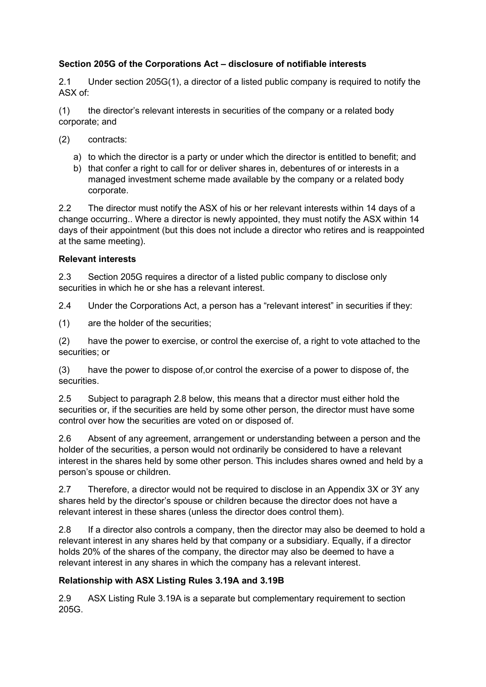### **Section 205G of the Corporations Act – disclosure of notifiable interests**

2.1 Under section 205G(1), a director of a listed public company is required to notify the ASX of:

(1) the director's relevant interests in securities of the company or a related body corporate; and

- (2) contracts:
	- a) to which the director is a party or under which the director is entitled to benefit; and
	- b) that confer a right to call for or deliver shares in, debentures of or interests in a managed investment scheme made available by the company or a related body corporate.

2.2 The director must notify the ASX of his or her relevant interests within 14 days of a change occurring.. Where a director is newly appointed, they must notify the ASX within 14 days of their appointment (but this does not include a director who retires and is reappointed at the same meeting).

#### **Relevant interests**

2.3 Section 205G requires a director of a listed public company to disclose only securities in which he or she has a relevant interest.

2.4 Under the Corporations Act, a person has a "relevant interest" in securities if they:

(1) are the holder of the securities;

(2) have the power to exercise, or control the exercise of, a right to vote attached to the securities; or

(3) have the power to dispose of,or control the exercise of a power to dispose of, the securities.

2.5 Subject to paragraph 2.8 below, this means that a director must either hold the securities or, if the securities are held by some other person, the director must have some control over how the securities are voted on or disposed of.

2.6 Absent of any agreement, arrangement or understanding between a person and the holder of the securities, a person would not ordinarily be considered to have a relevant interest in the shares held by some other person. This includes shares owned and held by a person's spouse or children.

2.7 Therefore, a director would not be required to disclose in an Appendix 3X or 3Y any shares held by the director's spouse or children because the director does not have a relevant interest in these shares (unless the director does control them).

2.8 If a director also controls a company, then the director may also be deemed to hold a relevant interest in any shares held by that company or a subsidiary. Equally, if a director holds 20% of the shares of the company, the director may also be deemed to have a relevant interest in any shares in which the company has a relevant interest.

### **Relationship with ASX Listing Rules 3.19A and 3.19B**

2.9 ASX Listing Rule 3.19A is a separate but complementary requirement to section 205G.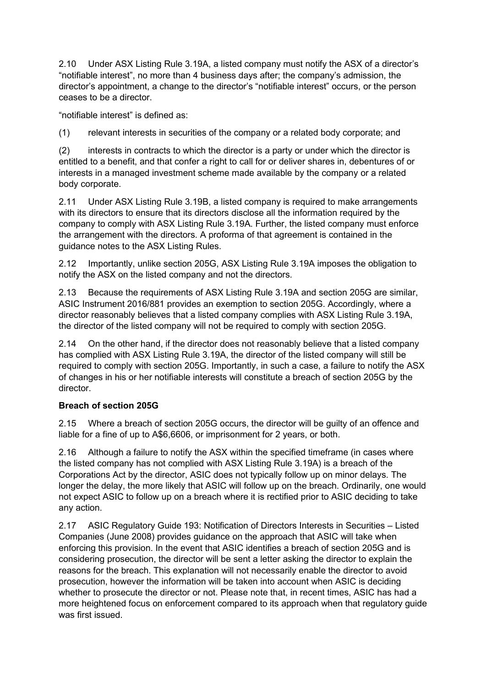2.10 Under ASX Listing Rule 3.19A, a listed company must notify the ASX of a director's "notifiable interest", no more than 4 business days after; the company's admission, the director's appointment, a change to the director's "notifiable interest" occurs, or the person ceases to be a director.

"notifiable interest" is defined as:

(1) relevant interests in securities of the company or a related body corporate; and

(2) interests in contracts to which the director is a party or under which the director is entitled to a benefit, and that confer a right to call for or deliver shares in, debentures of or interests in a managed investment scheme made available by the company or a related body corporate.

2.11 Under ASX Listing Rule 3.19B, a listed company is required to make arrangements with its directors to ensure that its directors disclose all the information required by the company to comply with ASX Listing Rule 3.19A. Further, the listed company must enforce the arrangement with the directors. A proforma of that agreement is contained in the guidance notes to the ASX Listing Rules.

2.12 Importantly, unlike section 205G, ASX Listing Rule 3.19A imposes the obligation to notify the ASX on the listed company and not the directors.

2.13 Because the requirements of ASX Listing Rule 3.19A and section 205G are similar, ASIC Instrument 2016/881 provides an exemption to section 205G. Accordingly, where a director reasonably believes that a listed company complies with ASX Listing Rule 3.19A, the director of the listed company will not be required to comply with section 205G.

2.14 On the other hand, if the director does not reasonably believe that a listed company has complied with ASX Listing Rule 3.19A, the director of the listed company will still be required to comply with section 205G. Importantly, in such a case, a failure to notify the ASX of changes in his or her notifiable interests will constitute a breach of section 205G by the director.

### **Breach of section 205G**

2.15 Where a breach of section 205G occurs, the director will be guilty of an offence and liable for a fine of up to A\$6,6606, or imprisonment for 2 years, or both.

2.16 Although a failure to notify the ASX within the specified timeframe (in cases where the listed company has not complied with ASX Listing Rule 3.19A) is a breach of the Corporations Act by the director, ASIC does not typically follow up on minor delays. The longer the delay, the more likely that ASIC will follow up on the breach. Ordinarily, one would not expect ASIC to follow up on a breach where it is rectified prior to ASIC deciding to take any action.

2.17 ASIC Regulatory Guide 193: Notification of Directors Interests in Securities – Listed Companies (June 2008) provides guidance on the approach that ASIC will take when enforcing this provision. In the event that ASIC identifies a breach of section 205G and is considering prosecution, the director will be sent a letter asking the director to explain the reasons for the breach. This explanation will not necessarily enable the director to avoid prosecution, however the information will be taken into account when ASIC is deciding whether to prosecute the director or not. Please note that, in recent times, ASIC has had a more heightened focus on enforcement compared to its approach when that regulatory guide was first issued.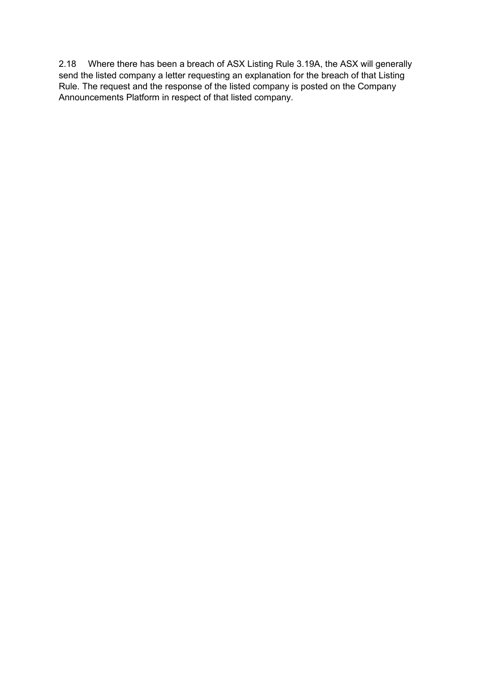2.18 Where there has been a breach of ASX Listing Rule 3.19A, the ASX will generally send the listed company a letter requesting an explanation for the breach of that Listing Rule. The request and the response of the listed company is posted on the Company Announcements Platform in respect of that listed company.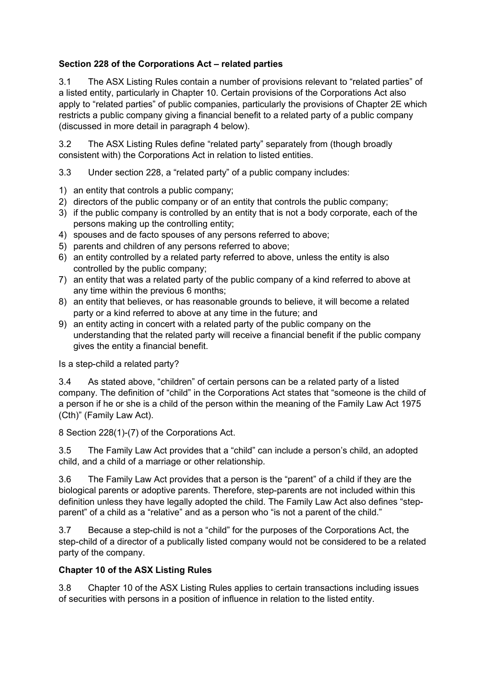## **Section 228 of the Corporations Act – related parties**

3.1 The ASX Listing Rules contain a number of provisions relevant to "related parties" of a listed entity, particularly in Chapter 10. Certain provisions of the Corporations Act also apply to "related parties" of public companies, particularly the provisions of Chapter 2E which restricts a public company giving a financial benefit to a related party of a public company (discussed in more detail in paragraph 4 below).

3.2 The ASX Listing Rules define "related party" separately from (though broadly consistent with) the Corporations Act in relation to listed entities.

3.3 Under section 228, a "related party" of a public company includes:

- 1) an entity that controls a public company;
- 2) directors of the public company or of an entity that controls the public company;
- 3) if the public company is controlled by an entity that is not a body corporate, each of the persons making up the controlling entity;
- 4) spouses and de facto spouses of any persons referred to above;
- 5) parents and children of any persons referred to above;
- 6) an entity controlled by a related party referred to above, unless the entity is also controlled by the public company;
- 7) an entity that was a related party of the public company of a kind referred to above at any time within the previous 6 months;
- 8) an entity that believes, or has reasonable grounds to believe, it will become a related party or a kind referred to above at any time in the future; and
- 9) an entity acting in concert with a related party of the public company on the understanding that the related party will receive a financial benefit if the public company gives the entity a financial benefit.

Is a step-child a related party?

3.4 As stated above, "children" of certain persons can be a related party of a listed company. The definition of "child" in the Corporations Act states that "someone is the child of a person if he or she is a child of the person within the meaning of the Family Law Act 1975 (Cth)" (Family Law Act).

8 Section 228(1)-(7) of the Corporations Act.

3.5 The Family Law Act provides that a "child" can include a person's child, an adopted child, and a child of a marriage or other relationship.

3.6 The Family Law Act provides that a person is the "parent" of a child if they are the biological parents or adoptive parents. Therefore, step-parents are not included within this definition unless they have legally adopted the child. The Family Law Act also defines "stepparent" of a child as a "relative" and as a person who "is not a parent of the child."

3.7 Because a step-child is not a "child" for the purposes of the Corporations Act, the step-child of a director of a publically listed company would not be considered to be a related party of the company.

### **Chapter 10 of the ASX Listing Rules**

3.8 Chapter 10 of the ASX Listing Rules applies to certain transactions including issues of securities with persons in a position of influence in relation to the listed entity.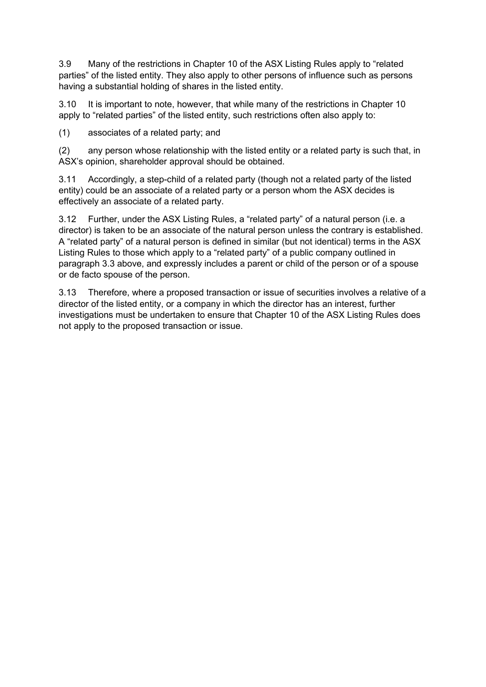3.9 Many of the restrictions in Chapter 10 of the ASX Listing Rules apply to "related parties" of the listed entity. They also apply to other persons of influence such as persons having a substantial holding of shares in the listed entity.

3.10 It is important to note, however, that while many of the restrictions in Chapter 10 apply to "related parties" of the listed entity, such restrictions often also apply to:

(1) associates of a related party; and

(2) any person whose relationship with the listed entity or a related party is such that, in ASX's opinion, shareholder approval should be obtained.

3.11 Accordingly, a step-child of a related party (though not a related party of the listed entity) could be an associate of a related party or a person whom the ASX decides is effectively an associate of a related party.

3.12 Further, under the ASX Listing Rules, a "related party" of a natural person (i.e. a director) is taken to be an associate of the natural person unless the contrary is established. A "related party" of a natural person is defined in similar (but not identical) terms in the ASX Listing Rules to those which apply to a "related party" of a public company outlined in paragraph 3.3 above, and expressly includes a parent or child of the person or of a spouse or de facto spouse of the person.

3.13 Therefore, where a proposed transaction or issue of securities involves a relative of a director of the listed entity, or a company in which the director has an interest, further investigations must be undertaken to ensure that Chapter 10 of the ASX Listing Rules does not apply to the proposed transaction or issue.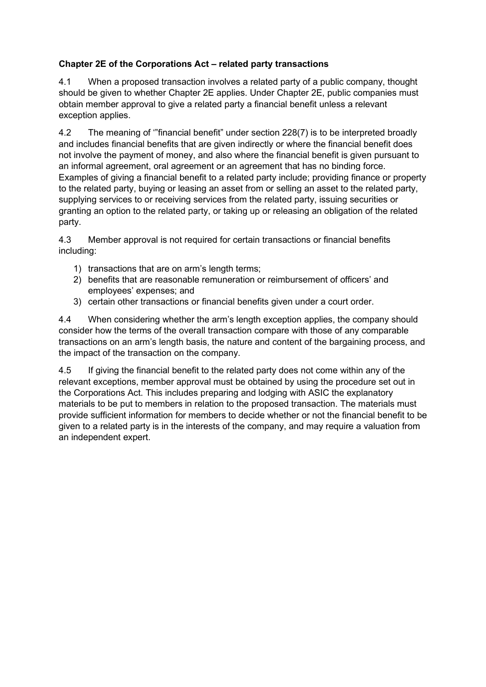# **Chapter 2E of the Corporations Act – related party transactions**

4.1 When a proposed transaction involves a related party of a public company, thought should be given to whether Chapter 2E applies. Under Chapter 2E, public companies must obtain member approval to give a related party a financial benefit unless a relevant exception applies.

4.2 The meaning of '"financial benefit" under section 228(7) is to be interpreted broadly and includes financial benefits that are given indirectly or where the financial benefit does not involve the payment of money, and also where the financial benefit is given pursuant to an informal agreement, oral agreement or an agreement that has no binding force. Examples of giving a financial benefit to a related party include; providing finance or property to the related party, buying or leasing an asset from or selling an asset to the related party, supplying services to or receiving services from the related party, issuing securities or granting an option to the related party, or taking up or releasing an obligation of the related party.

4.3 Member approval is not required for certain transactions or financial benefits including:

- 1) transactions that are on arm's length terms;
- 2) benefits that are reasonable remuneration or reimbursement of officers' and employees' expenses; and
- 3) certain other transactions or financial benefits given under a court order.

4.4 When considering whether the arm's length exception applies, the company should consider how the terms of the overall transaction compare with those of any comparable transactions on an arm's length basis, the nature and content of the bargaining process, and the impact of the transaction on the company.

4.5 If giving the financial benefit to the related party does not come within any of the relevant exceptions, member approval must be obtained by using the procedure set out in the Corporations Act. This includes preparing and lodging with ASIC the explanatory materials to be put to members in relation to the proposed transaction. The materials must provide sufficient information for members to decide whether or not the financial benefit to be given to a related party is in the interests of the company, and may require a valuation from an independent expert.